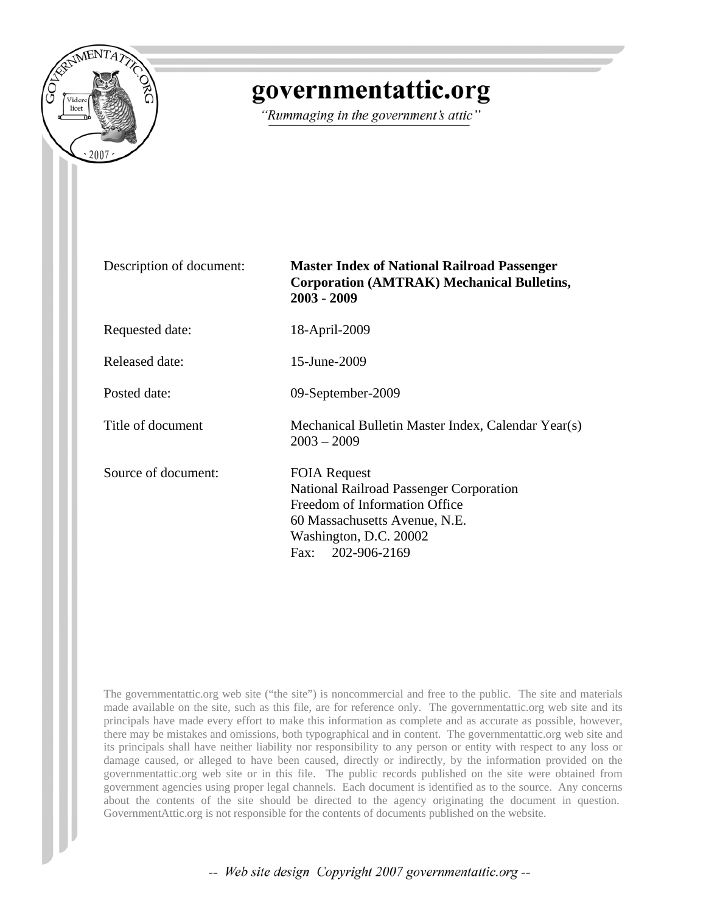

## governmentattic.org

"Rummaging in the government's attic"

| Description of document: | <b>Master Index of National Railroad Passenger</b><br><b>Corporation (AMTRAK) Mechanical Bulletins,</b><br>$2003 - 2009$                                                        |
|--------------------------|---------------------------------------------------------------------------------------------------------------------------------------------------------------------------------|
| Requested date:          | 18-April-2009                                                                                                                                                                   |
| Released date:           | 15-June-2009                                                                                                                                                                    |
| Posted date:             | 09-September-2009                                                                                                                                                               |
| Title of document        | Mechanical Bulletin Master Index, Calendar Year(s)<br>$2003 - 2009$                                                                                                             |
| Source of document:      | <b>FOIA Request</b><br>National Railroad Passenger Corporation<br>Freedom of Information Office<br>60 Massachusetts Avenue, N.E.<br>Washington, D.C. 20002<br>Fax: 202-906-2169 |

The governmentattic.org web site ("the site") is noncommercial and free to the public. The site and materials made available on the site, such as this file, are for reference only. The governmentattic.org web site and its principals have made every effort to make this information as complete and as accurate as possible, however, there may be mistakes and omissions, both typographical and in content. The governmentattic.org web site and its principals shall have neither liability nor responsibility to any person or entity with respect to any loss or damage caused, or alleged to have been caused, directly or indirectly, by the information provided on the governmentattic.org web site or in this file. The public records published on the site were obtained from government agencies using proper legal channels. Each document is identified as to the source. Any concerns about the contents of the site should be directed to the agency originating the document in question. GovernmentAttic.org is not responsible for the contents of documents published on the website.

-- Web site design Copyright 2007 governmentattic.org --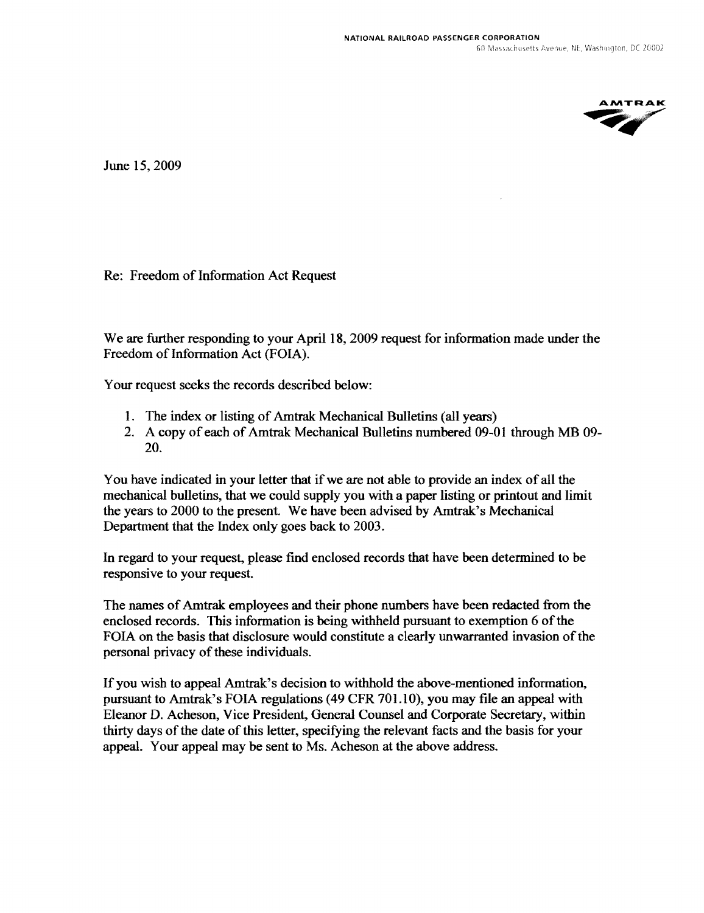**AMTRAK** AMTRAK

June 15,2009

Re: Freedom of Information Act Request

We are further responding to your April 18, 2009 request for information made under the Freedom of Information Act (FOIA).

Your request seeks the records described below:

- 1. The index or listing of Amtrak Mechanical Bulletins (all years)
- 2. A copy of each of Amtrak Mechanical Bulletins numbered 09-01 through MB 09- 20.

You have indicated in your letter that if we are not able to provide an index of all the mechanical bulletins, that we could supply you with a paper listing or printout and limit the years to 2000 to the present. We have been advised by Amtrak's Mechanical Department that the Index only goes back to 2003.

In regard to your request, please find enclosed records that have been determined to be responsive to your request.

The names of Amtrak employees and their phone numbers have been redacted from the enclosed records. This information is being withheld pursuant to exemption 6 of the FOIA on the basis that disclosure would constitute a clearly unwarranted invasion of the personal privacy of these individuals.

If you wish to appeal Amtrak's decision to withhold the above-mentioned infonnation, pursuant to Amtrak's FOIA regulations (49 CFR 701.10), you may file an appeal with Eleanor D. Acheson, Vice President, General Counsel and Corporate Secretary, within thirty days of the date of this letter, specifying the relevant facts and the basis for your appeal. Your appeal may be sent to Ms. Acheson at the above address.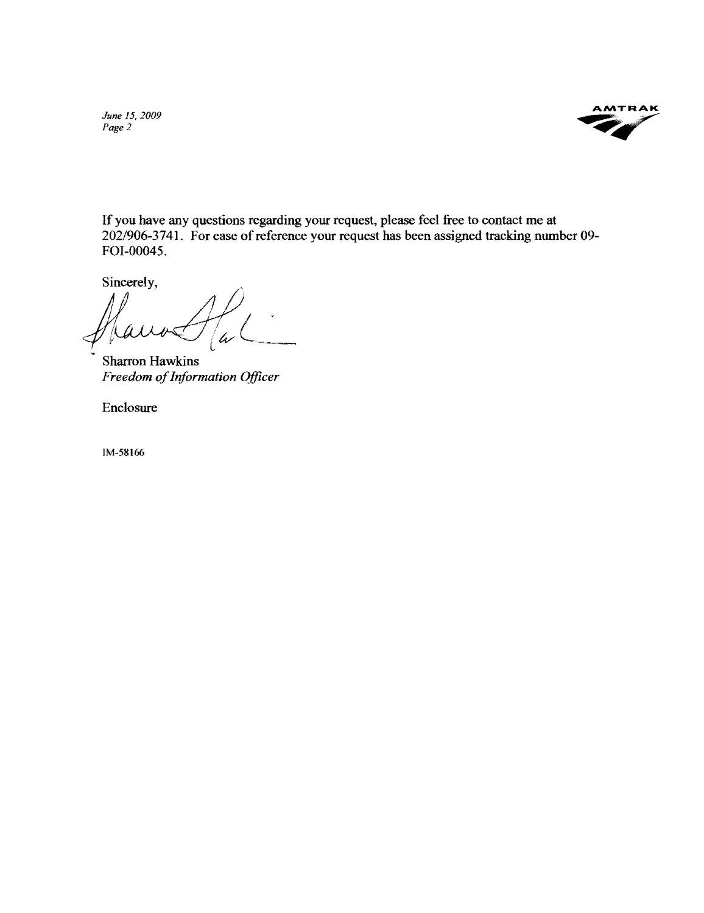*June 15, 2009 Page* 2



If you have any questions regarding your request, please feel free to contact me at *202/906-3741.* For ease of reference your request has been assigned tracking number 09- FOI-0004S.

Sincerely,

j/u h

Sharron Hawkins *Freedom of Information Officer* 

Enclosure

IM-58t66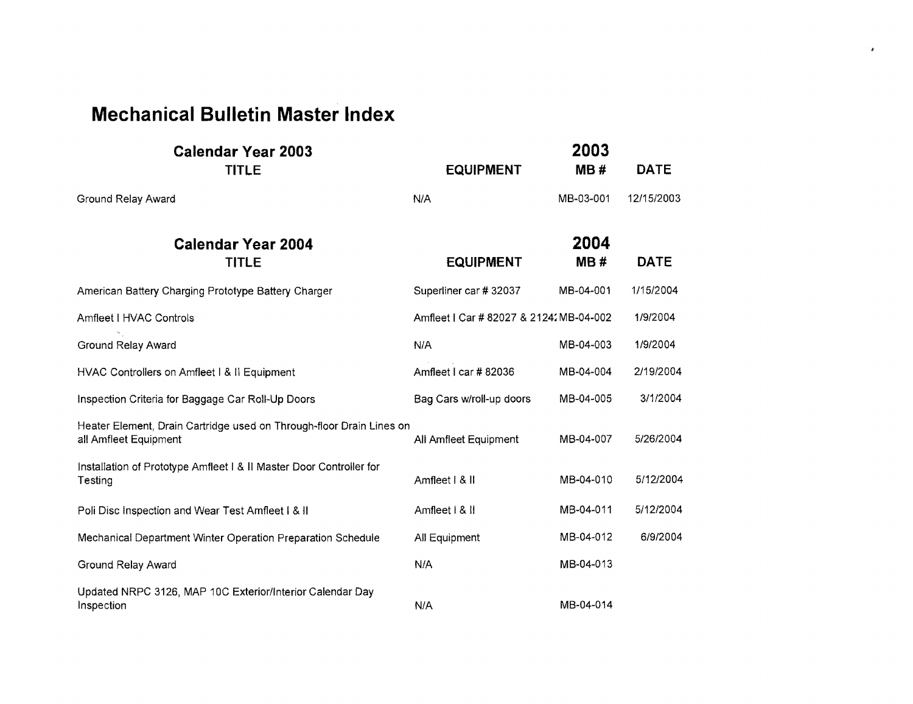## **Mechanical Bulletin Master Index**

| <b>Calendar Year 2003</b><br><b>TITLE</b>                                                     | <b>EQUIPMENT</b>                       | 2003<br>MB# | <b>DATE</b> |
|-----------------------------------------------------------------------------------------------|----------------------------------------|-------------|-------------|
| Ground Relay Award                                                                            | N/A                                    | MB-03-001   | 12/15/2003  |
| <b>Calendar Year 2004</b><br><b>TITLE</b>                                                     | <b>EQUIPMENT</b>                       | 2004<br>MB# | <b>DATE</b> |
| American Battery Charging Prototype Battery Charger                                           | Superliner car # 32037                 | MB-04-001   | 1/15/2004   |
| Amfleet I HVAC Controls                                                                       | Amfleet   Car # 82027 & 2124 MB-04-002 |             | 1/9/2004    |
| Ground Relay Award                                                                            | N/A                                    | MB-04-003   | 1/9/2004    |
| HVAC Controllers on Amfleet I & II Equipment                                                  | Amfleet I car #82036                   | MB-04-004   | 2/19/2004   |
| Inspection Criteria for Baggage Car Roll-Up Doors                                             | Bag Cars w/roll-up doors               | MB-04-005   | 3/1/2004    |
| Heater Element, Drain Cartridge used on Through-floor Drain Lines on<br>all Amfleet Equipment | All Amfleet Equipment                  | MB-04-007   | 5/26/2004   |
| Installation of Prototype Amfleet I & II Master Door Controller for<br>Testing                | Amfleet   & II                         | MB-04-010   | 5/12/2004   |
| Poli Disc Inspection and Wear Test Amfleet I & II                                             | Amfleet   &                            | MB-04-011   | 5/12/2004   |
| Mechanical Department Winter Operation Preparation Schedule                                   | All Equipment                          | MB-04-012   | 6/9/2004    |
| Ground Relay Award                                                                            | N/A                                    | MB-04-013   |             |
| Updated NRPC 3126, MAP 10C Exterior/Interior Calendar Day<br>Inspection                       | N/A                                    | MB-04-014   |             |

 $\mathfrak{p}^{\pm}$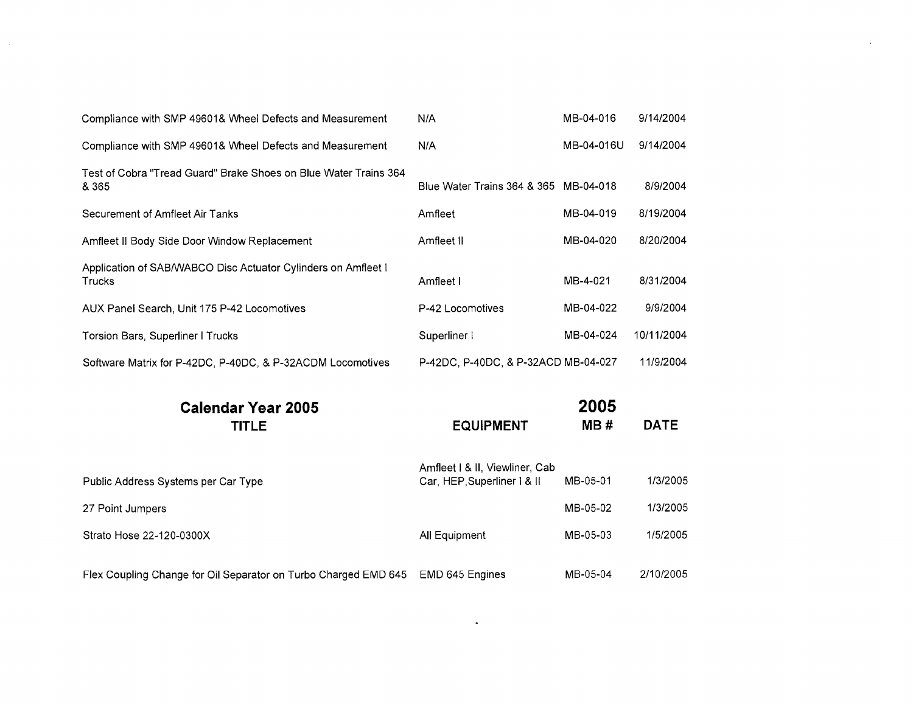| Compliance with SMP 49601& Wheel Defects and Measurement                  | N/A                                                           | MB-04-016   | 9/14/2004   |
|---------------------------------------------------------------------------|---------------------------------------------------------------|-------------|-------------|
| Compliance with SMP 49601& Wheel Defects and Measurement                  | N/A                                                           | MB-04-016U  | 9/14/2004   |
| Test of Cobra "Tread Guard" Brake Shoes on Blue Water Trains 364<br>& 365 | Blue Water Trains 364 & 365 MB-04-018                         |             | 8/9/2004    |
| Securement of Amfleet Air Tanks                                           | Amfleet                                                       | MB-04-019   | 8/19/2004   |
| Amfleet II Body Side Door Window Replacement                              | Amfleet II                                                    | MB-04-020   | 8/20/2004   |
| Application of SAB/WABCO Disc Actuator Cylinders on Amfleet I<br>Trucks   | Amfleet I                                                     | MB-4-021    | 8/31/2004   |
| AUX Panel Search, Unit 175 P-42 Locomotives                               | P-42 Locomotives                                              | MB-04-022   | 9/9/2004    |
| Torsion Bars, Superliner I Trucks                                         | Superliner I                                                  | MB-04-024   | 10/11/2004  |
| Software Matrix for P-42DC, P-40DC, & P-32ACDM Locomotives                | P-42DC, P-40DC, & P-32ACD MB-04-027                           |             | 11/9/2004   |
| <b>Calendar Year 2005</b><br><b>TITLE</b>                                 | <b>EQUIPMENT</b>                                              | 2005<br>MB# | <b>DATE</b> |
| Public Address Systems per Car Type                                       | Amfleet   & II, Viewliner, Cab<br>Car, HEP, Superliner 1 & II | MB-05-01    | 1/3/2005    |
| 27 Point Jumpers                                                          |                                                               | MB-05-02    | 1/3/2005    |

Strato Hose 22-120-0300X <br>
All Equipment MB-05-03 1/5/2005

 $\mathcal{L}$ 

Flex Coupling Change for Oil Separator on Turbo Charged EMD 645 EMD 645 Engines MB-05-04 2/10/2005

 $\Box$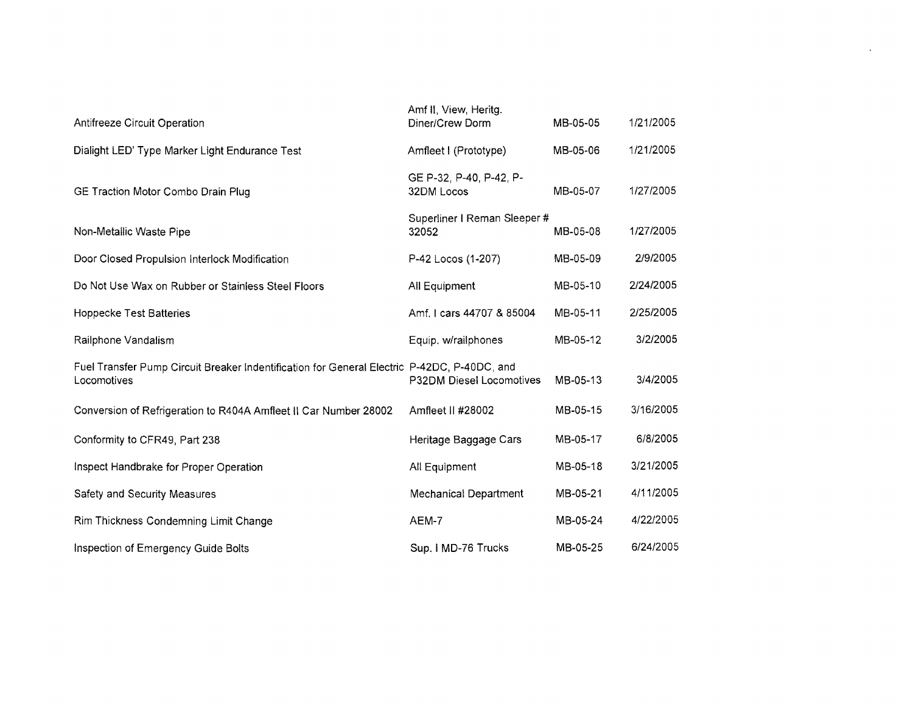| Diner/Crew Dorm                                                                                                         | MB-05-05              | 1/21/2005 |
|-------------------------------------------------------------------------------------------------------------------------|-----------------------|-----------|
| Amfleet I (Prototype)                                                                                                   | MB-05-06              | 1/21/2005 |
| GE P-32, P-40, P-42, P-<br>32DM Locos                                                                                   | MB-05-07              | 1/27/2005 |
| Superliner I Reman Sleeper #<br>32052                                                                                   | MB-05-08              | 1/27/2005 |
| P-42 Locos (1-207)                                                                                                      | MB-05-09              | 2/9/2005  |
| All Equipment                                                                                                           | MB-05-10              | 2/24/2005 |
| Amf. I cars 44707 & 85004                                                                                               | MB-05-11              | 2/25/2005 |
| Equip. w/railphones                                                                                                     | MB-05-12              | 3/2/2005  |
| Fuel Transfer Pump Circuit Breaker Indentification for General Electric P-42DC, P-40DC, and<br>P32DM Diesel Locomotives | MB-05-13              | 3/4/2005  |
| Amfleet II #28002                                                                                                       | MB-05-15              | 3/16/2005 |
| Heritage Baggage Cars                                                                                                   | MB-05-17              | 6/8/2005  |
| All Equipment                                                                                                           | MB-05-18              | 3/21/2005 |
| <b>Mechanical Department</b>                                                                                            | MB-05-21              | 4/11/2005 |
| AEM-7                                                                                                                   | MB-05-24              | 4/22/2005 |
| Sup. I MD-76 Trucks                                                                                                     | MB-05-25              | 6/24/2005 |
|                                                                                                                         | Amf II, View, Heritg. |           |

 $\mathcal{L}(\mathcal{L}(\mathcal{L}))$  and  $\mathcal{L}(\mathcal{L}(\mathcal{L}))$  . Then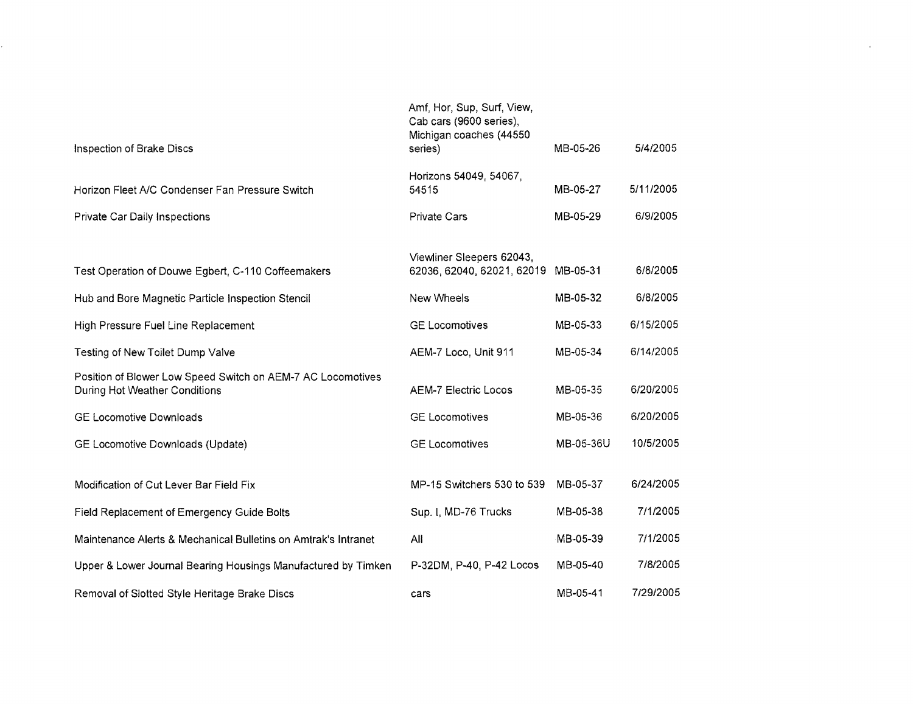| Inspection of Brake Discs                                                                    | Amf, Hor, Sup, Surf, View,<br>Cab cars (9600 series),<br>Michigan coaches (44550<br>series) | MB-05-26  | 5/4/2005  |
|----------------------------------------------------------------------------------------------|---------------------------------------------------------------------------------------------|-----------|-----------|
| Horizon Fleet A/C Condenser Fan Pressure Switch                                              | Horizons 54049, 54067,<br>54515                                                             | MB-05-27  | 5/11/2005 |
| Private Car Daily Inspections                                                                | <b>Private Cars</b>                                                                         | MB-05-29  | 6/9/2005  |
| Test Operation of Douwe Egbert, C-110 Coffeemakers                                           | Viewliner Sleepers 62043,<br>62036, 62040, 62021, 62019                                     | MB-05-31  | 6/8/2005  |
| Hub and Bore Magnetic Particle Inspection Stencil                                            | New Wheels                                                                                  | MB-05-32  | 6/8/2005  |
| High Pressure Fuel Line Replacement                                                          | <b>GE Locomotives</b>                                                                       | MB-05-33  | 6/15/2005 |
| Testing of New Toilet Dump Valve                                                             | AEM-7 Loco, Unit 911                                                                        | MB-05-34  | 6/14/2005 |
| Position of Blower Low Speed Switch on AEM-7 AC Locomotives<br>During Hot Weather Conditions | <b>AEM-7 Electric Locos</b>                                                                 | MB-05-35  | 6/20/2005 |
| <b>GE Locomotive Downloads</b>                                                               | <b>GE Locomotives</b>                                                                       | MB-05-36  | 6/20/2005 |
| GE Locomotive Downloads (Update)                                                             | <b>GE Locomotives</b>                                                                       | MB-05-36U | 10/5/2005 |
| Modification of Cut Lever Bar Field Fix                                                      | MP-15 Switchers 530 to 539                                                                  | MB-05-37  | 6/24/2005 |
| Field Replacement of Emergency Guide Bolts                                                   | Sup. I, MD-76 Trucks                                                                        | MB-05-38  | 7/1/2005  |
| Maintenance Alerts & Mechanical Bulletins on Amtrak's Intranet                               | All                                                                                         | MB-05-39  | 7/1/2005  |
| Upper & Lower Journal Bearing Housings Manufactured by Timken                                | P-32DM, P-40, P-42 Locos                                                                    | MB-05-40  | 7/8/2005  |
| Removal of Slotted Style Heritage Brake Discs                                                | cars                                                                                        | MB-05-41  | 7/29/2005 |

 $\mathcal{L}^{\pm}$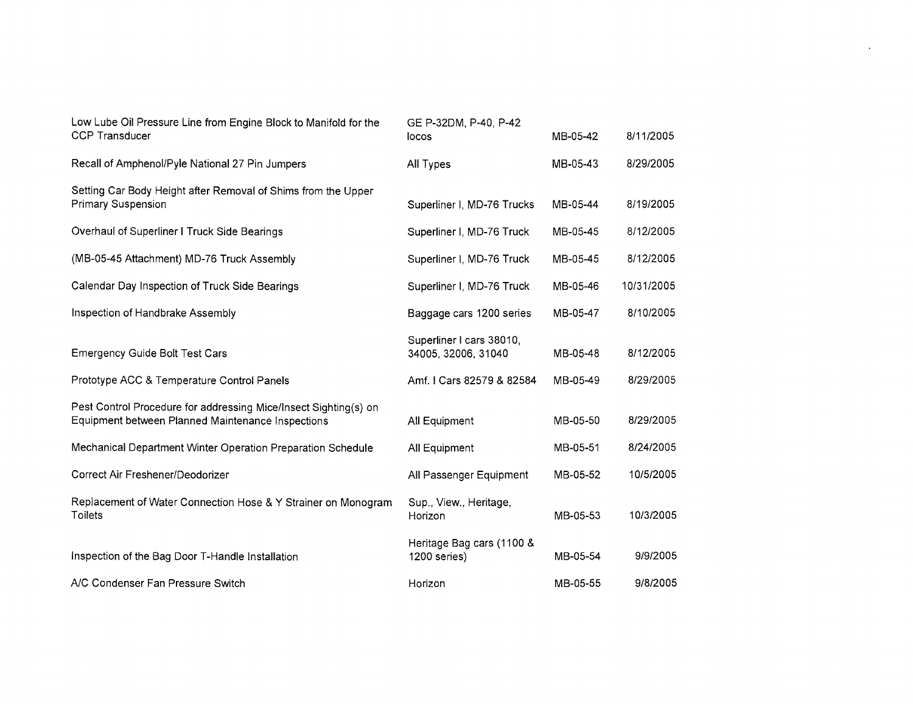| Low Lube Oil Pressure Line from Engine Block to Manifold for the | GE P-32DM, P-40, P-42      |          |            |
|------------------------------------------------------------------|----------------------------|----------|------------|
| <b>CCP Transducer</b>                                            | locos                      | MB-05-42 | 8/11/2005  |
| Recall of Amphenol/Pyle National 27 Pin Jumpers                  | All Types                  | MB-05-43 | 8/29/2005  |
| Setting Car Body Height after Removal of Shims from the Upper    |                            |          |            |
| <b>Primary Suspension</b>                                        | Superliner I, MD-76 Trucks | MB-05-44 | 8/19/2005  |
| Overhaul of Superliner I Truck Side Bearings                     | Superliner I, MD-76 Truck  | MB-05-45 | 8/12/2005  |
| (MB-05-45 Attachment) MD-76 Truck Assembly                       | Superliner I, MD-76 Truck  | MB-05-45 | 8/12/2005  |
| Calendar Day Inspection of Truck Side Bearings                   | Superliner I, MD-76 Truck  | MB-05-46 | 10/31/2005 |
| Inspection of Handbrake Assembly                                 | Baggage cars 1200 series   | MB-05-47 | 8/10/2005  |
|                                                                  | Superliner I cars 38010,   |          |            |
| <b>Emergency Guide Bolt Test Cars</b>                            | 34005, 32006, 31040        | MB-05-48 | 8/12/2005  |
| Prototype ACC & Temperature Control Panels                       | Amf. I Cars 82579 & 82584  | MB-05-49 | 8/29/2005  |
| Pest Control Procedure for addressing Mice/Insect Sighting(s) on |                            |          |            |
| Equipment between Planned Maintenance Inspections                | All Equipment              | MB-05-50 | 8/29/2005  |
| Mechanical Department Winter Operation Preparation Schedule      | All Equipment              | MB-05-51 | 8/24/2005  |
| Correct Air Freshener/Deodorizer                                 | All Passenger Equipment    | MB-05-52 | 10/5/2005  |
| Replacement of Water Connection Hose & Y Strainer on Monogram    | Sup., View., Heritage,     |          |            |
| Toilets                                                          | Horizon                    | MB-05-53 | 10/3/2005  |
|                                                                  | Heritage Bag cars (1100 &  |          |            |
| Inspection of the Bag Door T-Handle Installation                 | 1200 series)               | MB-05-54 | 9/9/2005   |
| A/C Condenser Fan Pressure Switch                                | Horizon                    | MB-05-55 | 9/8/2005   |

 $\mathcal{A}^{\pm}$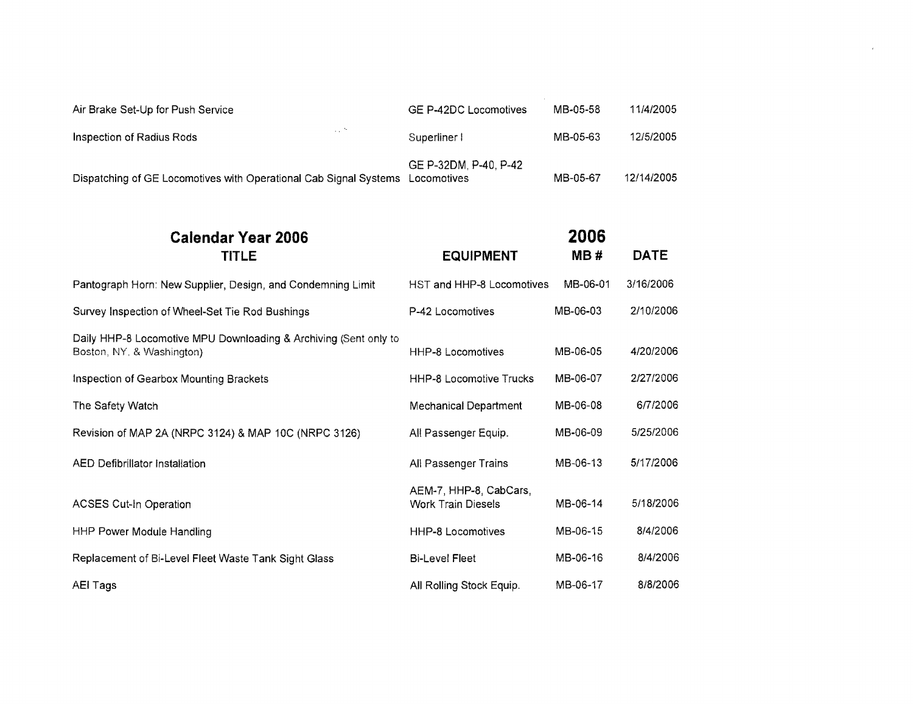| Dispatching of GE Locomotives with Operational Cab Signal Systems Locomotives | GE P-32DM, P-40, P-42 | MB-05-67 | 12/14/2005 |
|-------------------------------------------------------------------------------|-----------------------|----------|------------|
| $\sim$<br>Inspection of Radius Rods                                           | Superliner I          | MB-05-63 | 12/5/2005  |
| Air Brake Set-Up for Push Service                                             | GE P-42DC Locomotives | MB-05-58 | 11/4/2005  |

 $\label{eq:2.1} \frac{1}{2} \int_{\mathbb{R}^3} \frac{1}{2} \left( \frac{1}{2} \int_{\mathbb{R}^3} \frac{1}{2} \left( \frac{1}{2} \int_{\mathbb{R}^3} \frac{1}{2} \int_{\mathbb{R}^3} \frac{1}{2} \int_{\mathbb{R}^3} \frac{1}{2} \int_{\mathbb{R}^3} \frac{1}{2} \int_{\mathbb{R}^3} \frac{1}{2} \int_{\mathbb{R}^3} \frac{1}{2} \int_{\mathbb{R}^3} \frac{1}{2} \int_{\mathbb{R}^3} \$ 

| <b>Calendar Year 2006</b>                                                                     |                                                     | 2006     |             |
|-----------------------------------------------------------------------------------------------|-----------------------------------------------------|----------|-------------|
| <b>TITLE</b>                                                                                  | <b>EQUIPMENT</b>                                    | MB#      | <b>DATE</b> |
| Pantograph Horn: New Supplier, Design, and Condemning Limit                                   | HST and HHP-8 Locomotives                           | MB-06-01 | 3/16/2006   |
| Survey Inspection of Wheel-Set Tie Rod Bushings                                               | P-42 Locomotives                                    | MB-06-03 | 2/10/2006   |
| Daily HHP-8 Locomotive MPU Downloading & Archiving (Sent only to<br>Boston, NY, & Washington) | <b>HHP-8 Locomotives</b>                            | MB-06-05 | 4/20/2006   |
| Inspection of Gearbox Mounting Brackets                                                       | <b>HHP-8 Locomotive Trucks</b>                      | MB-06-07 | 2/27/2006   |
| The Safety Watch                                                                              | Mechanical Department                               | MB-06-08 | 6/7/2006    |
| Revision of MAP 2A (NRPC 3124) & MAP 10C (NRPC 3126)                                          | All Passenger Equip.                                | MB-06-09 | 5/25/2006   |
| <b>AED Defibrillator Installation</b>                                                         | All Passenger Trains                                | MB-06-13 | 5/17/2006   |
| <b>ACSES Cut-In Operation</b>                                                                 | AEM-7, HHP-8, CabCars,<br><b>Work Train Diesels</b> | MB-06-14 | 5/18/2006   |
| HHP Power Module Handling                                                                     | <b>HHP-8 Locomotives</b>                            | MB-06-15 | 8/4/2006    |
| Replacement of Bi-Level Fleet Waste Tank Sight Glass                                          | <b>Bi-Level Fleet</b>                               | MB-06-16 | 8/4/2006    |
| <b>AEI Tags</b>                                                                               | All Rolling Stock Equip.                            | MB-06-17 | 8/8/2006    |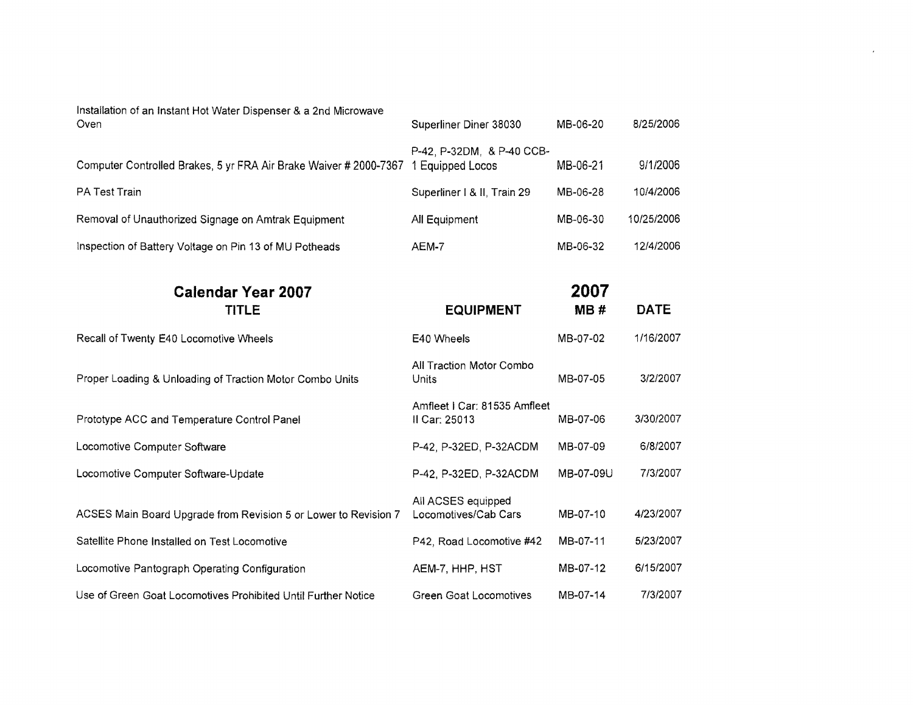| Installation of an Instant Hot Water Dispenser & a 2nd Microwave<br>Oven | Superliner Diner 38030                        | MB-06-20  | 8/25/2006   |
|--------------------------------------------------------------------------|-----------------------------------------------|-----------|-------------|
| Computer Controlled Brakes, 5 yr FRA Air Brake Waiver # 2000-7367        | P-42, P-32DM, & P-40 CCB-<br>1 Equipped Locos | MB-06-21  | 9/1/2006    |
| PA Test Train                                                            | Superliner   & II, Train 29                   | MB-06-28  | 10/4/2006   |
| Removal of Unauthorized Signage on Amtrak Equipment                      | All Equipment                                 | MB-06-30  | 10/25/2006  |
| Inspection of Battery Voltage on Pin 13 of MU Potheads                   | AEM-7                                         | MB-06-32  | 12/4/2006   |
| <b>Calendar Year 2007</b>                                                |                                               | 2007      |             |
| <b>TITLE</b>                                                             | <b>EQUIPMENT</b>                              | MB#       | <b>DATE</b> |
| Recall of Twenty E40 Locomotive Wheels                                   | E40 Wheels                                    | MB-07-02  | 1/16/2007   |
| Proper Loading & Unloading of Traction Motor Combo Units                 | All Traction Motor Combo<br>Units             | MB-07-05  | 3/2/2007    |
| Prototype ACC and Temperature Control Panel                              | Amfleet   Car: 81535 Amfleet<br>Il Car: 25013 | MB-07-06  | 3/30/2007   |
| Locomotive Computer Software                                             | P-42, P-32ED, P-32ACDM                        | MB-07-09  | 6/8/2007    |
| Locomotive Computer Software-Update                                      | P-42, P-32ED, P-32ACDM                        | MB-07-09U | 7/3/2007    |
| ACSES Main Board Upgrade from Revision 5 or Lower to Revision 7          | All ACSES equipped<br>Locomotives/Cab Cars    | MB-07-10  | 4/23/2007   |
| Satellite Phone Installed on Test Locomotive                             | P42, Road Locomotive #42                      | MB-07-11  | 5/23/2007   |
| Locomotive Pantograph Operating Configuration                            | AEM-7, HHP, HST                               | MB-07-12  | 6/15/2007   |
| Use of Green Goat Locomotives Prohibited Until Further Notice            | Green Goat Locomotives                        | MB-07-14  | 7/3/2007    |

 $\star$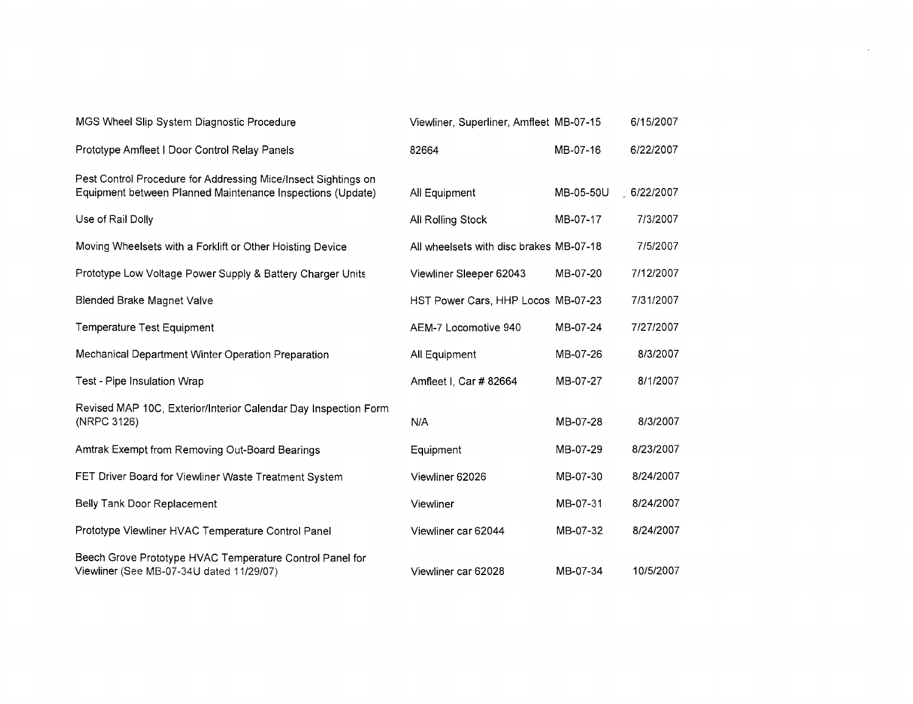| MGS Wheel Slip System Diagnostic Procedure                                                                                   | Viewliner, Superliner, Amfleet MB-07-15 |           | 6/15/2007 |
|------------------------------------------------------------------------------------------------------------------------------|-----------------------------------------|-----------|-----------|
| Prototype Amfleet I Door Control Relay Panels                                                                                | 82664                                   | MB-07-16  | 6/22/2007 |
| Pest Control Procedure for Addressing Mice/Insect Sightings on<br>Equipment between Planned Maintenance Inspections (Update) | All Equipment                           | MB-05-50U | 6/22/2007 |
| Use of Rail Dolly                                                                                                            | All Rolling Stock                       | MB-07-17  | 7/3/2007  |
| Moving Wheelsets with a Forklift or Other Hoisting Device                                                                    | All wheelsets with disc brakes MB-07-18 |           | 7/5/2007  |
| Prototype Low Voltage Power Supply & Battery Charger Units                                                                   | Viewliner Sleeper 62043                 | MB-07-20  | 7/12/2007 |
| <b>Blended Brake Magnet Valve</b>                                                                                            | HST Power Cars, HHP Locos MB-07-23      |           | 7/31/2007 |
| Temperature Test Equipment                                                                                                   | AEM-7 Locomotive 940                    | MB-07-24  | 7/27/2007 |
| Mechanical Department Winter Operation Preparation                                                                           | All Equipment                           | MB-07-26  | 8/3/2007  |
| Test - Pipe Insulation Wrap                                                                                                  | Amfleet I, Car # 82664                  | MB-07-27  | 8/1/2007  |
| Revised MAP 10C, Exterior/Interior Calendar Day Inspection Form<br>(NRPC 3126)                                               | N/A                                     | MB-07-28  | 8/3/2007  |
| Amtrak Exempt from Removing Out-Board Bearings                                                                               | Equipment                               | MB-07-29  | 8/23/2007 |
| FET Driver Board for Viewliner Waste Treatment System                                                                        | Viewliner 62026                         | MB-07-30  | 8/24/2007 |
| Belly Tank Door Replacement                                                                                                  | Viewliner                               | MB-07-31  | 8/24/2007 |
| Prototype Viewliner HVAC Temperature Control Panel                                                                           | Viewliner car 62044                     | MB-07-32  | 8/24/2007 |
| Beech Grove Prototype HVAC Temperature Control Panel for<br>Viewliner (See MB-07-34U dated 11/29/07)                         | Viewliner car 62028                     | MB-07-34  | 10/5/2007 |

 $\sim 10^{11}$  km  $^{-1}$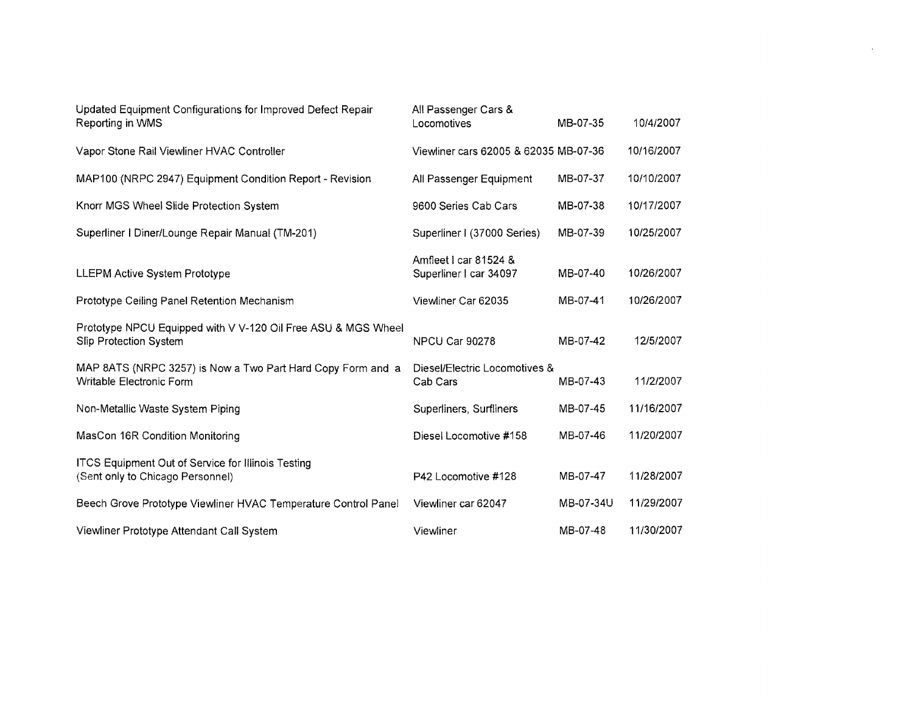| Updated Equipment Configurations for Improved Defect Repair<br>Reporting in WMS               | All Passenger Cars &<br>Locomotives             | MB-07-35  | 10/4/2007  |
|-----------------------------------------------------------------------------------------------|-------------------------------------------------|-----------|------------|
| Vapor Stone Rail Viewliner HVAC Controller                                                    | Viewliner cars 62005 & 62035 MB-07-36           |           | 10/16/2007 |
| MAP100 (NRPC 2947) Equipment Condition Report - Revision                                      | All Passenger Equipment                         | MB-07-37  | 10/10/2007 |
| Knorr MGS Wheel Slide Protection System                                                       | 9600 Series Cab Cars                            | MB-07-38  | 10/17/2007 |
| Superliner   Diner/Lounge Repair Manual (TM-201)                                              | Superliner I (37000 Series)                     | MB-07-39  | 10/25/2007 |
| <b>LLEPM Active System Prototype</b>                                                          | Amfleet I car 81524 &<br>Superliner I car 34097 | MB-07-40  | 10/26/2007 |
| Prototype Ceiling Panel Retention Mechanism                                                   | Viewliner Car 62035                             | MB-07-41  | 10/26/2007 |
| Prototype NPCU Equipped with V V-120 Oil Free ASU & MGS Wheel<br>Slip Protection System       | NPCU Car 90278                                  | MB-07-42  | 12/5/2007  |
| MAP 8ATS (NRPC 3257) is Now a Two Part Hard Copy Form and a<br>Writable Electronic Form       | Diesel/Electric Locomotives &<br>Cab Cars       | MB-07-43  | 11/2/2007  |
| Non-Metallic Waste System Piping                                                              | Superliners, Surfliners                         | MB-07-45  | 11/16/2007 |
| MasCon 16R Condition Monitoring                                                               | Diesel Locomotive #158                          | MB-07-46  | 11/20/2007 |
| <b>ITCS Equipment Out of Service for Illinois Testing</b><br>(Sent only to Chicago Personnel) | P42 Locomotive #128                             | MB-07-47  | 11/28/2007 |
| Beech Grove Prototype Viewliner HVAC Temperature Control Panel                                | Viewliner car 62047                             | MB-07-34U | 11/29/2007 |
| Viewliner Prototype Attendant Call System                                                     | Viewliner                                       | MB-07-48  | 11/30/2007 |

 $\mathcal{L}^{\text{max}}_{\text{max}}$  , where  $\mathcal{L}^{\text{max}}_{\text{max}}$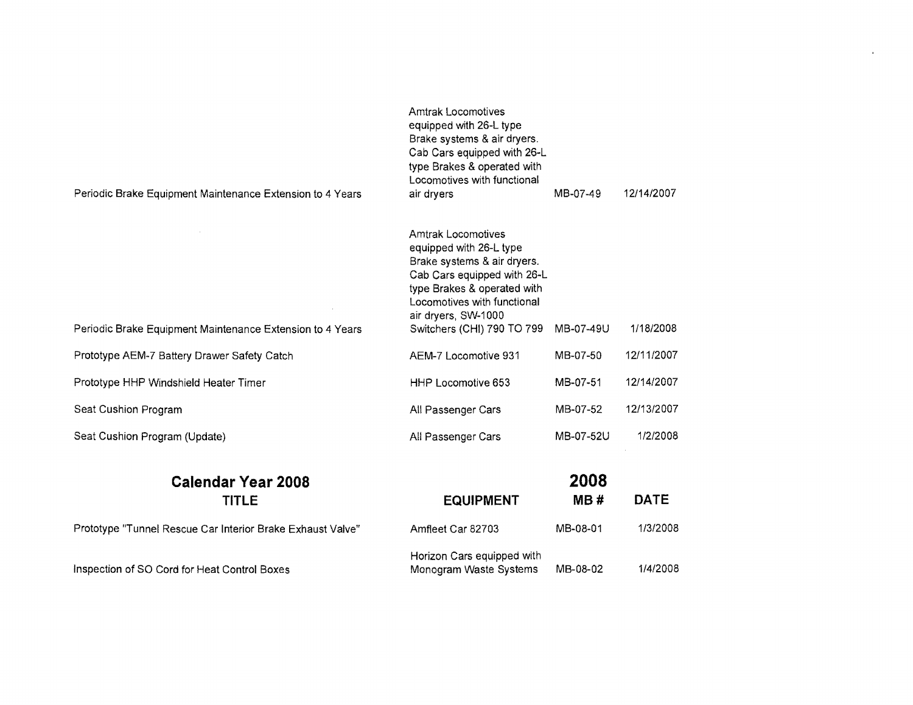| Periodic Brake Equipment Maintenance Extension to 4 Years | <b>Amtrak Locomotives</b><br>equipped with 26-L type<br>Brake systems & air dryers.<br>Cab Cars equipped with 26-L<br>type Brakes & operated with<br>Locomotives with functional<br>air dryers                                        | MB-07-49  | 12/14/2007 |
|-----------------------------------------------------------|---------------------------------------------------------------------------------------------------------------------------------------------------------------------------------------------------------------------------------------|-----------|------------|
| Periodic Brake Equipment Maintenance Extension to 4 Years | <b>Amtrak Locomotives</b><br>equipped with 26-L type<br>Brake systems & air dryers.<br>Cab Cars equipped with 26-L<br>type Brakes & operated with<br>Locomotives with functional<br>air dryers, SW-1000<br>Switchers (CHI) 790 TO 799 | MB-07-49U | 1/18/2008  |
| Prototype AEM-7 Battery Drawer Safety Catch               | AEM-7 Locomotive 931                                                                                                                                                                                                                  | MB-07-50  | 12/11/2007 |
| Prototype HHP Windshield Heater Timer                     | HHP Locomotive 653                                                                                                                                                                                                                    | MB-07-51  | 12/14/2007 |
| Seat Cushion Program                                      | All Passenger Cars                                                                                                                                                                                                                    | MB-07-52  | 12/13/2007 |
| Seat Cushion Program (Update)                             | All Passenger Cars                                                                                                                                                                                                                    | MB-07-52U | 1/2/2008   |
|                                                           |                                                                                                                                                                                                                                       | ההחה      |            |

 $\sim$ 

| <b>Calendar Year 2008</b>                                  |                                                      | 2008     |             |  |  |
|------------------------------------------------------------|------------------------------------------------------|----------|-------------|--|--|
| <b>TITLE</b>                                               | <b>EQUIPMENT</b>                                     | MB#      | <b>DATE</b> |  |  |
| Prototype "Tunnel Rescue Car Interior Brake Exhaust Valve" | Amfleet Car 82703                                    | MB-08-01 | 1/3/2008    |  |  |
| Inspection of SO Cord for Heat Control Boxes               | Horizon Cars equipped with<br>Monogram Waste Systems | MB-08-02 | 1/4/2008    |  |  |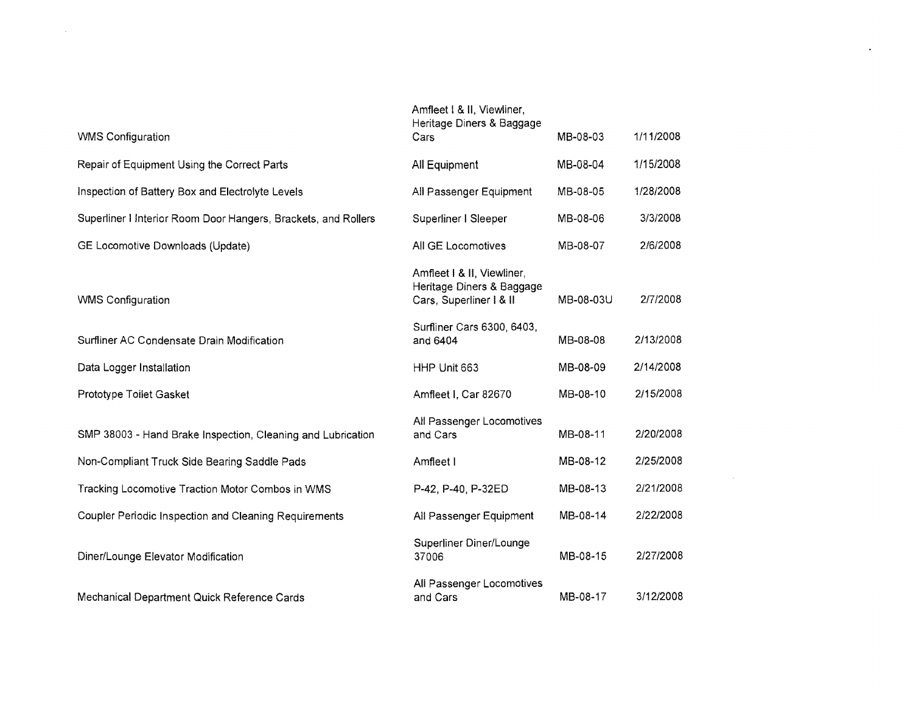| <b>WMS Configuration</b>                                       | Amfleet   & II, Viewliner,<br>Heritage Diners & Baggage<br>Cars                    | MB-08-03  | 1/11/2008 |
|----------------------------------------------------------------|------------------------------------------------------------------------------------|-----------|-----------|
|                                                                |                                                                                    |           |           |
| Repair of Equipment Using the Correct Parts                    | All Equipment                                                                      | MB-08-04  | 1/15/2008 |
| Inspection of Battery Box and Electrolyte Levels               | All Passenger Equipment                                                            | MB-08-05  | 1/28/2008 |
| Superliner I Interior Room Door Hangers, Brackets, and Rollers | Superliner I Sleeper                                                               | MB-08-06  | 3/3/2008  |
| GE Locomotive Downloads (Update)                               | All GE Locomotives                                                                 | MB-08-07  | 2/6/2008  |
| <b>WMS Configuration</b>                                       | Amfleet   & II, Viewliner,<br>Heritage Diners & Baggage<br>Cars, Superliner   & II | MB-08-03U | 2/7/2008  |
| Surfliner AC Condensate Drain Modification                     | Surfliner Cars 6300, 6403,<br>and 6404                                             | MB-08-08  | 2/13/2008 |
| Data Logger Installation                                       | HHP Unit 663                                                                       | MB-08-09  | 2/14/2008 |
| Prototype Toilet Gasket                                        | Amfleet I, Car 82670                                                               | MB-08-10  | 2/15/2008 |
| SMP 38003 - Hand Brake Inspection, Cleaning and Lubrication    | All Passenger Locomotives<br>and Cars                                              | MB-08-11  | 2/20/2008 |
| Non-Compliant Truck Side Bearing Saddle Pads                   | Amfleet I                                                                          | MB-08-12  | 2/25/2008 |
| Tracking Locomotive Traction Motor Combos in WMS               | P-42, P-40, P-32ED                                                                 | MB-08-13  | 2/21/2008 |
| Coupler Periodic Inspection and Cleaning Requirements          | All Passenger Equipment                                                            | MB-08-14  | 2/22/2008 |
| Diner/Lounge Elevator Modification                             | Superliner Diner/Lounge<br>37006                                                   | MB-08-15  | 2/27/2008 |
| Mechanical Department Quick Reference Cards                    | All Passenger Locomotives<br>and Cars                                              | MB-08-17  | 3/12/2008 |

 $\mathcal{L}^{\text{max}}(\mathbf{r},\mathbf{r})$ 

 $\label{eq:2.1} \mathcal{L}(\mathcal{L}^{\text{max}}_{\text{max}}(\mathcal{L}^{\text{max}}_{\text{max}}(\mathcal{L}^{\text{max}}_{\text{max}}(\mathcal{L}^{\text{max}}_{\text{max}}(\mathcal{L}^{\text{max}}_{\text{max}}(\mathcal{L}^{\text{max}}_{\text{max}}(\mathcal{L}^{\text{max}}_{\text{max}}(\mathcal{L}^{\text{max}}_{\text{max}}(\mathcal{L}^{\text{max}}_{\text{max}}(\mathcal{L}^{\text{max}}_{\text{max}}(\mathcal{L}^{\text{max}}_{\text{max}}(\mathcal{L}^$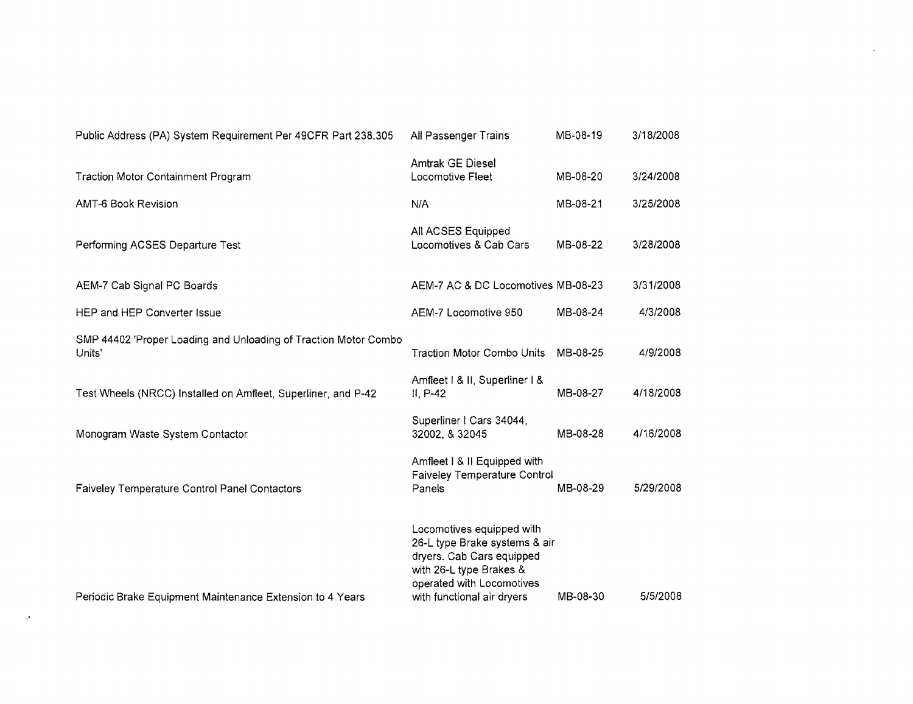| Public Address (PA) System Requirement Per 49CFR Part 238.305             | All Passenger Trains                                                                                                                                                          | MB-08-19 | 3/18/2008 |
|---------------------------------------------------------------------------|-------------------------------------------------------------------------------------------------------------------------------------------------------------------------------|----------|-----------|
| <b>Traction Motor Containment Program</b>                                 | <b>Amtrak GE Diesel</b><br>Locomotive Fleet                                                                                                                                   | MB-08-20 | 3/24/2008 |
| <b>AMT-6 Book Revision</b>                                                | N/A                                                                                                                                                                           | MB-08-21 | 3/25/2008 |
| Performing ACSES Departure Test                                           | All ACSES Equipped<br>Locomotives & Cab Cars                                                                                                                                  | MB-08-22 | 3/28/2008 |
| AEM-7 Cab Signal PC Boards                                                | AEM-7 AC & DC Locomotives MB-08-23                                                                                                                                            |          | 3/31/2008 |
| HEP and HEP Converter Issue                                               | AEM-7 Locomotive 950                                                                                                                                                          | MB-08-24 | 4/3/2008  |
| SMP 44402 'Proper Loading and Unloading of Traction Motor Combo<br>Units' | <b>Traction Motor Combo Units</b>                                                                                                                                             | MB-08-25 | 4/9/2008  |
| Test Wheels (NRCC) Installed on Amfleet, Superliner, and P-42             | Amfleet   & II, Superliner   &<br>II, P-42                                                                                                                                    | MB-08-27 | 4/18/2008 |
| Monogram Waste System Contactor                                           | Superliner   Cars 34044,<br>32002, & 32045                                                                                                                                    | MB-08-28 | 4/16/2008 |
| Faiveley Temperature Control Panel Contactors                             | Amfleet   &   Equipped with<br>Faiveley Temperature Control<br>Panels                                                                                                         | MB-08-29 | 5/29/2008 |
| Periodic Brake Equipment Maintenance Extension to 4 Years                 | Locomotives equipped with<br>26-L type Brake systems & air<br>dryers. Cab Cars equipped<br>with 26-L type Brakes &<br>operated with Locomotives<br>with functional air dryers | MB-08-30 | 5/5/2008  |

 $\label{eq:2.1} \frac{1}{\sqrt{2}}\left(\frac{1}{\sqrt{2}}\right)^{2} \left(\frac{1}{\sqrt{2}}\right)^{2} \left(\frac{1}{\sqrt{2}}\right)^{2} \left(\frac{1}{\sqrt{2}}\right)^{2} \left(\frac{1}{\sqrt{2}}\right)^{2} \left(\frac{1}{\sqrt{2}}\right)^{2} \left(\frac{1}{\sqrt{2}}\right)^{2} \left(\frac{1}{\sqrt{2}}\right)^{2} \left(\frac{1}{\sqrt{2}}\right)^{2} \left(\frac{1}{\sqrt{2}}\right)^{2} \left(\frac{1}{\sqrt{2}}\right)^{2} \left(\$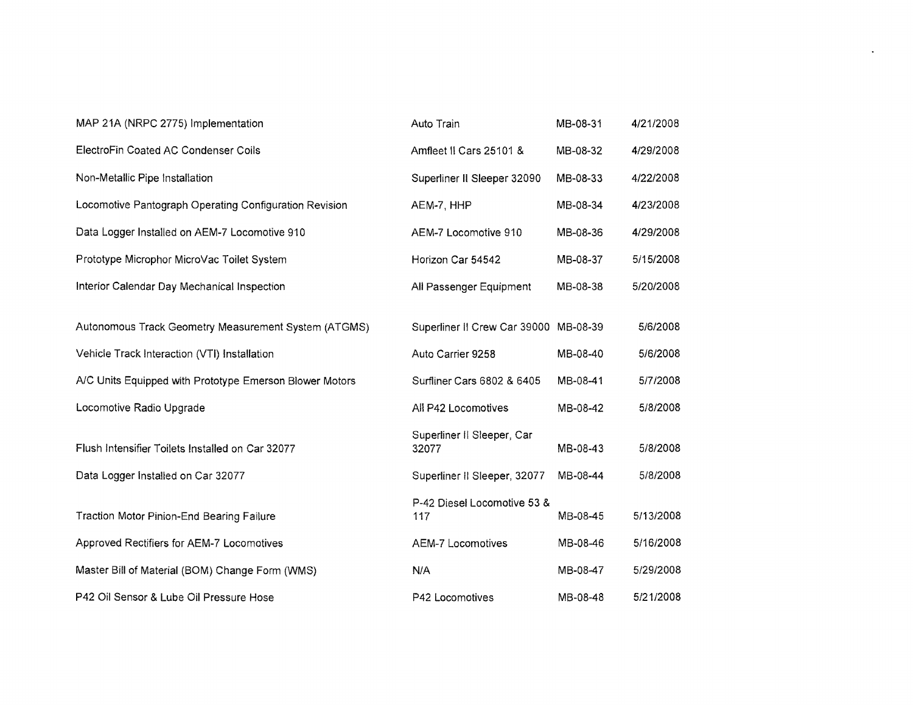| MAP 21A (NRPC 2775) Implementation                      | Auto Train                          | MB-08-31 | 4/21/2008 |
|---------------------------------------------------------|-------------------------------------|----------|-----------|
| ElectroFin Coated AC Condenser Coils                    | Amfleet II Cars 25101 &             | MB-08-32 | 4/29/2008 |
| Non-Metallic Pipe Installation                          | Superliner II Sleeper 32090         | MB-08-33 | 4/22/2008 |
| Locomotive Pantograph Operating Configuration Revision  | AEM-7, HHP                          | MB-08-34 | 4/23/2008 |
| Data Logger Installed on AEM-7 Locomotive 910           | AEM-7 Locomotive 910                | MB-08-36 | 4/29/2008 |
| Prototype Microphor MicroVac Toilet System              | Horizon Car 54542                   | MB-08-37 | 5/15/2008 |
| Interior Calendar Day Mechanical Inspection             | All Passenger Equipment             | MB-08-38 | 5/20/2008 |
|                                                         |                                     |          |           |
| Autonomous Track Geometry Measurement System (ATGMS)    | Superliner II Crew Car 39000        | MB-08-39 | 5/6/2008  |
| Vehicle Track Interaction (VTI) Installation            | Auto Carrier 9258                   | MB-08-40 | 5/6/2008  |
| A/C Units Equipped with Prototype Emerson Blower Motors | Surfliner Cars 6802 & 6405          | MB-08-41 | 5/7/2008  |
| Locomotive Radio Upgrade                                | All P42 Locomotives                 | MB-08-42 | 5/8/2008  |
| Flush Intensifier Toilets Installed on Car 32077        | Superliner II Sleeper, Car<br>32077 | MB-08-43 | 5/8/2008  |
| Data Logger Installed on Car 32077                      | Superliner II Sleeper, 32077        | MB-08-44 | 5/8/2008  |
| <b>Traction Motor Pinion-End Bearing Failure</b>        | P-42 Diesel Locomotive 53 &<br>117  | MB-08-45 | 5/13/2008 |
| Approved Rectifiers for AEM-7 Locomotives               | <b>AEM-7 Locomotives</b>            | MB-08-46 | 5/16/2008 |
| Master Bill of Material (BOM) Change Form (WMS)         | N/A                                 | MB-08-47 | 5/29/2008 |
| P42 Oil Sensor & Lube Oil Pressure Hose                 | P42 Locomotives                     | MB-08-48 | 5/21/2008 |

 $\star$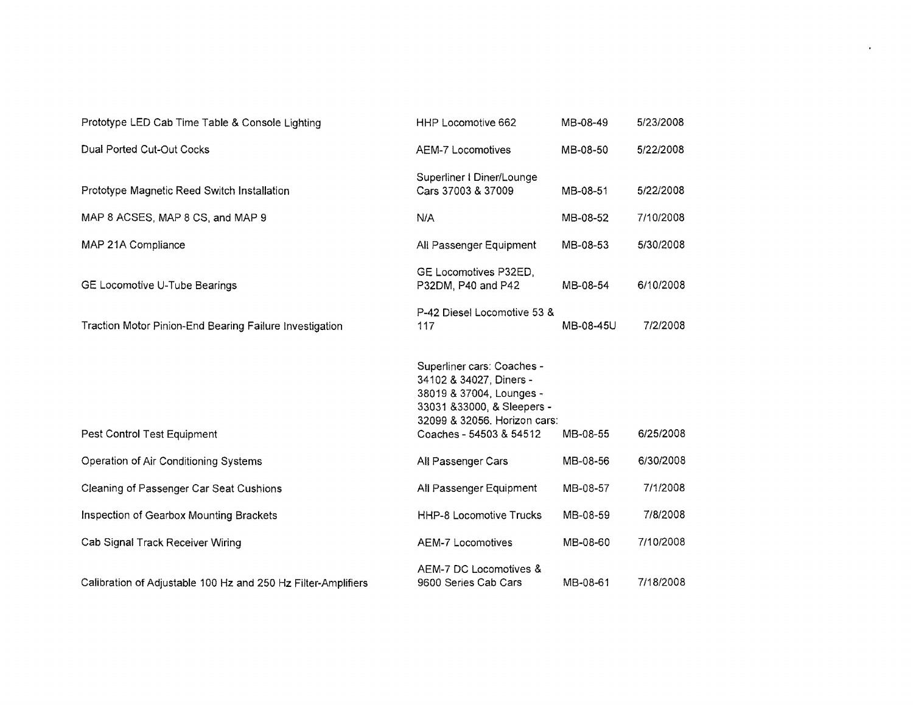| Prototype LED Cab Time Table & Console Lighting               | HHP Locomotive 662                                                                                                                                                          | MB-08-49  | 5/23/2008 |
|---------------------------------------------------------------|-----------------------------------------------------------------------------------------------------------------------------------------------------------------------------|-----------|-----------|
| Dual Ported Cut-Out Cocks                                     | <b>AEM-7 Locomotives</b>                                                                                                                                                    | MB-08-50  | 5/22/2008 |
| Prototype Magnetic Reed Switch Installation                   | Superliner I Diner/Lounge<br>Cars 37003 & 37009                                                                                                                             | MB-08-51  | 5/22/2008 |
| MAP 8 ACSES, MAP 8 CS, and MAP 9                              | N/A                                                                                                                                                                         | MB-08-52  | 7/10/2008 |
| MAP 21A Compliance                                            | All Passenger Equipment                                                                                                                                                     | MB-08-53  | 5/30/2008 |
| GE Locomotive U-Tube Bearings                                 | GE Locomotives P32ED,<br>P32DM, P40 and P42                                                                                                                                 | MB-08-54  | 6/10/2008 |
| Traction Motor Pinion-End Bearing Failure Investigation       | P-42 Diesel Locomotive 53 &<br>117                                                                                                                                          | MB-08-45U | 7/2/2008  |
| Pest Control Test Equipment                                   | Superliner cars: Coaches -<br>34102 & 34027, Diners -<br>38019 & 37004, Lounges -<br>33031 & 33000, & Sleepers -<br>32099 & 32056. Horizon cars:<br>Coaches - 54503 & 54512 | MB-08-55  | 6/25/2008 |
| Operation of Air Conditioning Systems                         | All Passenger Cars                                                                                                                                                          | MB-08-56  | 6/30/2008 |
| Cleaning of Passenger Car Seat Cushions                       | All Passenger Equipment                                                                                                                                                     | MB-08-57  | 7/1/2008  |
| Inspection of Gearbox Mounting Brackets                       | <b>HHP-8 Locomotive Trucks</b>                                                                                                                                              | MB-08-59  | 7/8/2008  |
| Cab Signal Track Receiver Wiring                              | AEM-7 Locomotives                                                                                                                                                           | MB-08-60  | 7/10/2008 |
| Calibration of Adjustable 100 Hz and 250 Hz Filter-Amplifiers | AEM-7 DC Locomotives &<br>9600 Series Cab Cars                                                                                                                              | MB-08-61  | 7/18/2008 |

 $\bullet$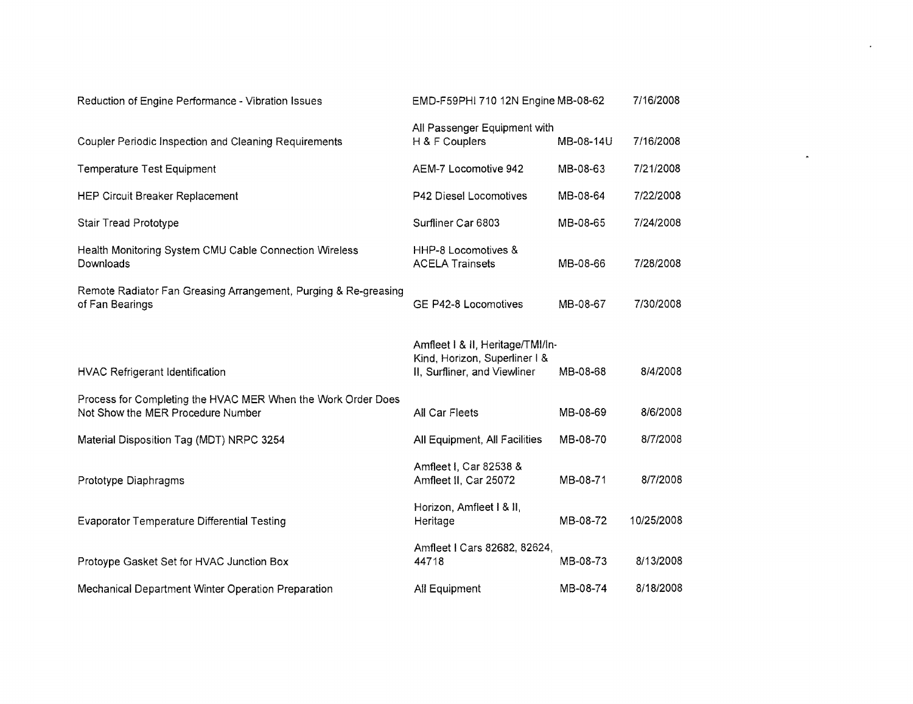| Reduction of Engine Performance - Vibration Issues                                                | EMD-F59PHI 710 12N Engine MB-08-62                                                                |           | 7/16/2008  |
|---------------------------------------------------------------------------------------------------|---------------------------------------------------------------------------------------------------|-----------|------------|
| Coupler Periodic Inspection and Cleaning Requirements                                             | All Passenger Equipment with<br>H & F Couplers                                                    | MB-08-14U | 7/16/2008  |
| Temperature Test Equipment                                                                        | AEM-7 Locomotive 942                                                                              | MB-08-63  | 7/21/2008  |
| <b>HEP Circuit Breaker Replacement</b>                                                            | P42 Diesel Locomotives                                                                            | MB-08-64  | 7/22/2008  |
| Stair Tread Prototype                                                                             | Surfliner Car 6803                                                                                | MB-08-65  | 7/24/2008  |
| Health Monitoring System CMU Cable Connection Wireless<br>Downloads                               | HHP-8 Locomotives &<br><b>ACELA Trainsets</b>                                                     | MB-08-66  | 7/28/2008  |
| Remote Radiator Fan Greasing Arrangement, Purging & Re-greasing<br>of Fan Bearings                | GE P42-8 Locomotives                                                                              | MB-08-67  | 7/30/2008  |
| HVAC Refrigerant Identification                                                                   | Amfleet   & II, Heritage/TMI/In-<br>Kind, Horizon, Superliner I &<br>II, Surfliner, and Viewliner | MB-08-68  | 8/4/2008   |
| Process for Completing the HVAC MER When the Work Order Does<br>Not Show the MER Procedure Number | All Car Fleets                                                                                    | MB-08-69  | 8/6/2008   |
| Material Disposition Tag (MDT) NRPC 3254                                                          | All Equipment, All Facilities                                                                     | MB-08-70  | 8/7/2008   |
| Prototype Diaphragms                                                                              | Amfleet I, Car 82538 &<br>Amfleet II, Car 25072                                                   | MB-08-71  | 8/7/2008   |
| <b>Evaporator Temperature Differential Testing</b>                                                | Horizon, Amfleet I & II,<br>Heritage                                                              | MB-08-72  | 10/25/2008 |
| Protoype Gasket Set for HVAC Junction Box                                                         | Amfleet I Cars 82682, 82624,<br>44718                                                             | MB-08-73  | 8/13/2008  |
| Mechanical Department Winter Operation Preparation                                                | All Equipment                                                                                     | MB-08-74  | 8/18/2008  |

 $\mathbf{A}^{\mathrm{max}}$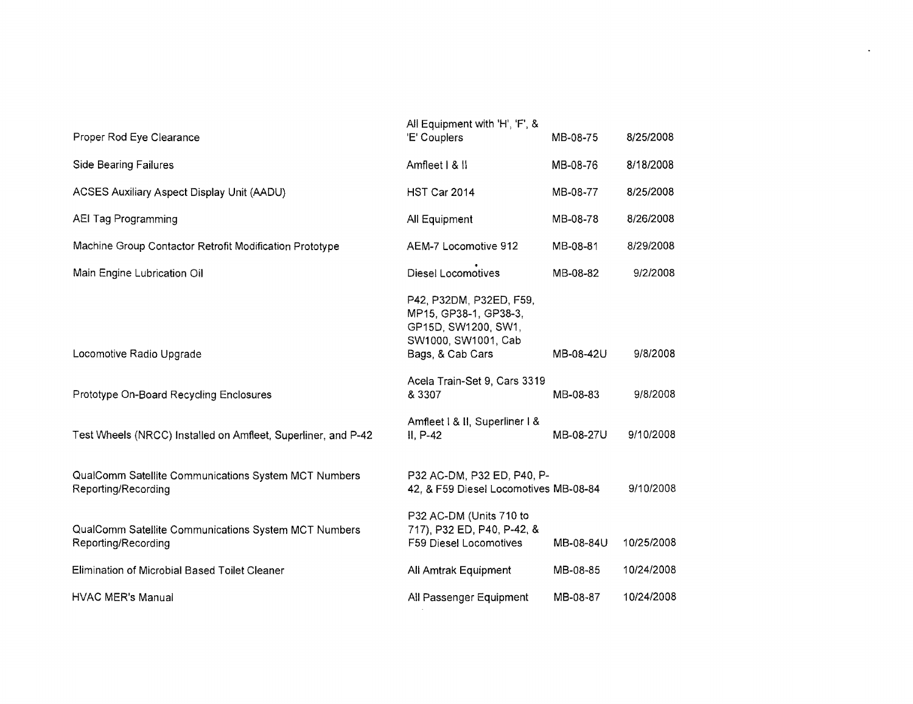|                                                                             | All Equipment with 'H', 'F', &                                                                 |           |            |
|-----------------------------------------------------------------------------|------------------------------------------------------------------------------------------------|-----------|------------|
| Proper Rod Eye Clearance                                                    | 'E' Couplers                                                                                   | MB-08-75  | 8/25/2008  |
| <b>Side Bearing Failures</b>                                                | Amfleet   &                                                                                    | MB-08-76  | 8/18/2008  |
| <b>ACSES Auxiliary Aspect Display Unit (AADU)</b>                           | HST Car 2014                                                                                   | MB-08-77  | 8/25/2008  |
| <b>AEI Tag Programming</b>                                                  | All Equipment                                                                                  | MB-08-78  | 8/26/2008  |
| Machine Group Contactor Retrofit Modification Prototype                     | AEM-7 Locomotive 912                                                                           | MB-08-81  | 8/29/2008  |
| Main Engine Lubrication Oil                                                 | <b>Diesel Locomotives</b>                                                                      | MB-08-82  | 9/2/2008   |
|                                                                             | P42, P32DM, P32ED, F59,<br>MP15, GP38-1, GP38-3,<br>GP15D, SW1200, SW1,<br>SW1000, SW1001, Cab |           |            |
| Locomotive Radio Upgrade                                                    | Bags, & Cab Cars                                                                               | MB-08-42U | 9/8/2008   |
| Prototype On-Board Recycling Enclosures                                     | Acela Train-Set 9, Cars 3319<br>& 3307                                                         | MB-08-83  | 9/8/2008   |
| Test Wheels (NRCC) Installed on Amfleet, Superliner, and P-42               | Amfleet   & II, Superliner   &<br>II, P-42                                                     | MB-08-27U | 9/10/2008  |
| QualComm Satellite Communications System MCT Numbers<br>Reporting/Recording | P32 AC-DM, P32 ED, P40, P-<br>42, & F59 Diesel Locomotives MB-08-84                            |           | 9/10/2008  |
| QualComm Satellite Communications System MCT Numbers<br>Reporting/Recording | P32 AC-DM (Units 710 to<br>717), P32 ED, P40, P-42, &<br>F59 Diesel Locomotives                | MB-08-84U | 10/25/2008 |
| Elimination of Microbial Based Toilet Cleaner                               | All Amtrak Equipment                                                                           | MB-08-85  | 10/24/2008 |
| <b>HVAC MER's Manual</b>                                                    | All Passenger Equipment                                                                        | MB-08-87  | 10/24/2008 |

 $\mathcal{L}(\mathcal{L})$  and  $\mathcal{L}(\mathcal{L})$  .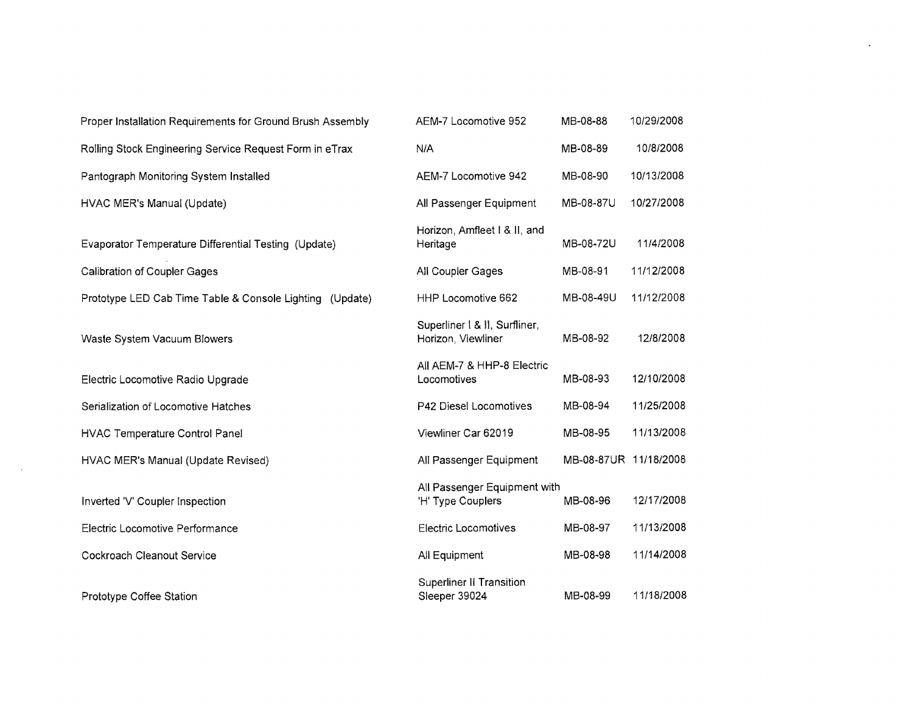| Proper Installation Requirements for Ground Brush Assembly | AEM-7 Locomotive 952                                | MB-08-88              | 10/29/2008 |
|------------------------------------------------------------|-----------------------------------------------------|-----------------------|------------|
| Rolling Stock Engineering Service Request Form in eTrax    | N/A                                                 | MB-08-89              | 10/8/2008  |
| Pantograph Monitoring System Installed                     | AEM-7 Locomotive 942                                | MB-08-90              | 10/13/2008 |
| HVAC MER's Manual (Update)                                 | All Passenger Equipment                             | MB-08-87U             | 10/27/2008 |
| Evaporator Temperature Differential Testing (Update)       | Horizon, Amfleet I & II, and<br>Heritage            | MB-08-72U             | 11/4/2008  |
| <b>Calibration of Coupler Gages</b>                        | All Coupler Gages                                   | MB-08-91              | 11/12/2008 |
| Prototype LED Cab Time Table & Console Lighting (Update)   | HHP Locomotive 662                                  | MB-08-49U             | 11/12/2008 |
| Waste System Vacuum Blowers                                | Superliner   & II, Surfliner,<br>Horizon, Viewliner | MB-08-92              | 12/8/2008  |
| Electric Locomotive Radio Upgrade                          | All AEM-7 & HHP-8 Electric<br>Locomotives           | MB-08-93              | 12/10/2008 |
| Serialization of Locomotive Hatches                        | P42 Diesel Locomotives                              | MB-08-94              | 11/25/2008 |
| <b>HVAC Temperature Control Panel</b>                      | Viewliner Car 62019                                 | MB-08-95              | 11/13/2008 |
| HVAC MER's Manual (Update Revised)                         | All Passenger Equipment                             | MB-08-87UR 11/18/2008 |            |
| Inverted 'V' Coupler Inspection                            | All Passenger Equipment with<br>'H' Type Couplers   | MB-08-96              | 12/17/2008 |
| Electric Locomotive Performance                            | <b>Electric Locomotives</b>                         | MB-08-97              | 11/13/2008 |
| Cockroach Cleanout Service                                 | All Equipment                                       | MB-08-98              | 11/14/2008 |
| Prototype Coffee Station                                   | <b>Superliner II Transition</b><br>Sleeper 39024    | MB-08-99              | 11/18/2008 |

 $\mathcal{L}^{\text{max}}_{\text{max}}$  ,  $\mathcal{L}^{\text{max}}_{\text{max}}$ 

 $\sim$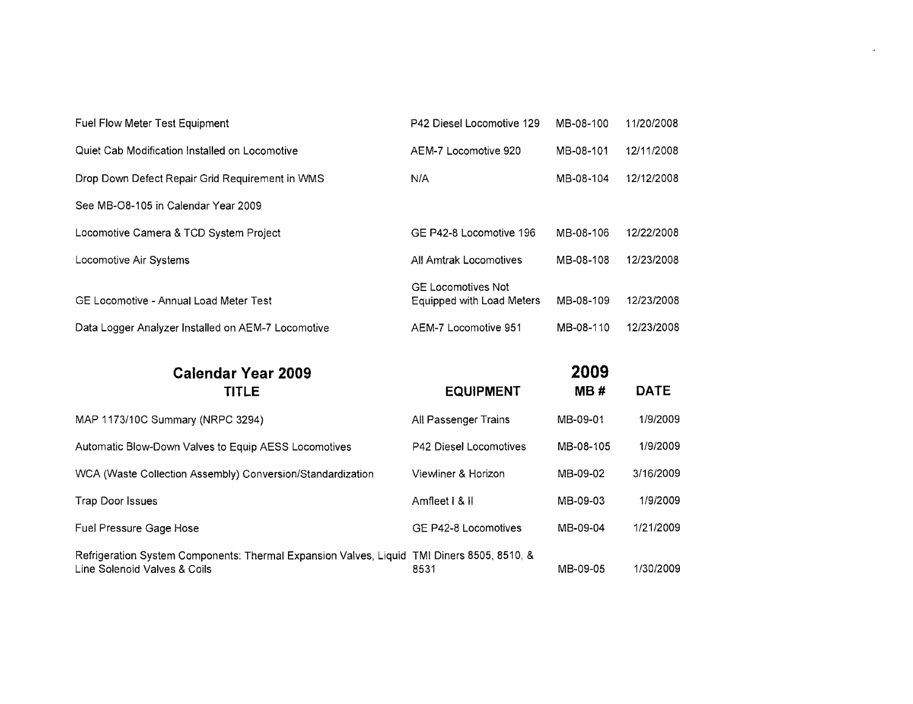| Fuel Flow Meter Test Equipment                     | P42 Diesel Locomotive 129                              | MB-08-100 | 11/20/2008 |
|----------------------------------------------------|--------------------------------------------------------|-----------|------------|
| Quiet Cab Modification Installed on Locomotive     | AEM-7 Locomotive 920                                   | MB-08-101 | 12/11/2008 |
| Drop Down Defect Repair Grid Requirement in WMS    | N/A                                                    | MB-08-104 | 12/12/2008 |
| See MB-O8-105 in Calendar Year 2009                |                                                        |           |            |
| Locomotive Camera & TCD System Project             | GE P42-8 Locomotive 196                                | MB-08-106 | 12/22/2008 |
| Locomotive Air Systems                             | All Amtrak Locomotives                                 | MB-08-108 | 12/23/2008 |
| GE Locomotive - Annual Load Meter Test             | <b>GE Locomotives Not</b><br>Equipped with Load Meters | MB-08-109 | 12/23/2008 |
| Data Logger Analyzer Installed on AEM-7 Locomotive | AEM-7 Locomotive 951                                   | MB-08-110 | 12/23/2008 |
|                                                    |                                                        |           |            |

 $\omega$ 

| <b>Calendar Year 2009</b>                                                                                                  |                               | 2009      |             |  |  |
|----------------------------------------------------------------------------------------------------------------------------|-------------------------------|-----------|-------------|--|--|
| <b>TITLE</b>                                                                                                               | <b>EQUIPMENT</b>              | MB#       | <b>DATE</b> |  |  |
| MAP 1173/10C Summary (NRPC 3294)                                                                                           | All Passenger Trains          | MB-09-01  | 1/9/2009    |  |  |
| Automatic Blow-Down Valves to Equip AESS Locomotives                                                                       | <b>P42 Diesel Locomotives</b> | MB-08-105 | 1/9/2009    |  |  |
| WCA (Waste Collection Assembly) Conversion/Standardization                                                                 | Viewliner & Horizon           | MB-09-02  | 3/16/2009   |  |  |
| Trap Door Issues                                                                                                           | Amfleet   &                   | MB-09-03  | 1/9/2009    |  |  |
| Fuel Pressure Gage Hose                                                                                                    | GE P42-8 Locomotives          | MB-09-04  | 1/21/2009   |  |  |
| Refrigeration System Components: Thermal Expansion Valves, Liquid TMI Diners 8505, 8510, &<br>Line Solenoid Valves & Coils | 8531                          | MB-09-05  | 1/30/2009   |  |  |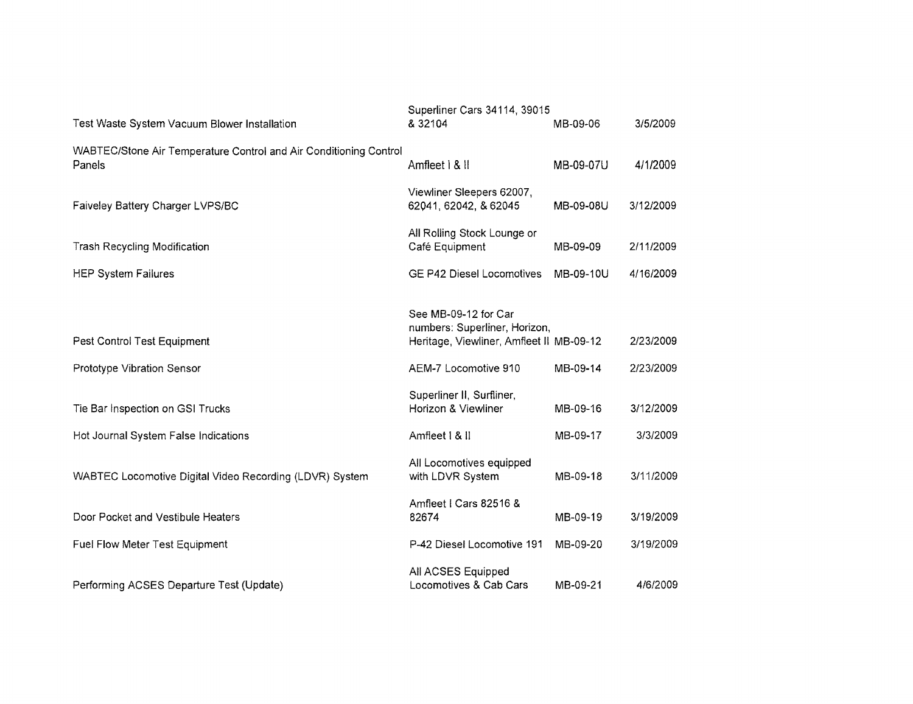|                                                                             | Superliner Cars 34114, 39015                          |           |           |
|-----------------------------------------------------------------------------|-------------------------------------------------------|-----------|-----------|
| Test Waste System Vacuum Blower Installation                                | & 32104                                               | MB-09-06  | 3/5/2009  |
| WABTEC/Stone Air Temperature Control and Air Conditioning Control<br>Panels | Amfleet   & II                                        | MB-09-07U | 4/1/2009  |
| Faiveley Battery Charger LVPS/BC                                            | Viewliner Sleepers 62007,<br>62041, 62042, & 62045    | MB-09-08U | 3/12/2009 |
| <b>Trash Recycling Modification</b>                                         | All Rolling Stock Lounge or<br>Café Equipment         | MB-09-09  | 2/11/2009 |
| <b>HEP System Failures</b>                                                  | <b>GE P42 Diesel Locomotives</b>                      | MB-09-10U | 4/16/2009 |
|                                                                             |                                                       |           |           |
|                                                                             | See MB-09-12 for Car<br>numbers: Superliner, Horizon, |           |           |
| Pest Control Test Equipment                                                 | Heritage, Viewliner, Amfleet II MB-09-12              |           | 2/23/2009 |
| Prototype Vibration Sensor                                                  | AEM-7 Locomotive 910                                  | MB-09-14  | 2/23/2009 |
| Tie Bar Inspection on GSI Trucks                                            | Superliner II, Surfliner,<br>Horizon & Viewliner      | MB-09-16  | 3/12/2009 |
| Hot Journal System False Indications                                        | Amfleet   &                                           | MB-09-17  | 3/3/2009  |
| WABTEC Locomotive Digital Video Recording (LDVR) System                     | All Locomotives equipped<br>with LDVR System          | MB-09-18  | 3/11/2009 |
| Door Pocket and Vestibule Heaters                                           | Amfleet I Cars 82516 &<br>82674                       | MB-09-19  | 3/19/2009 |
| Fuel Flow Meter Test Equipment                                              | P-42 Diesel Locomotive 191                            | MB-09-20  | 3/19/2009 |
| Performing ACSES Departure Test (Update)                                    | All ACSES Equipped<br>Locomotives & Cab Cars          | MB-09-21  | 4/6/2009  |